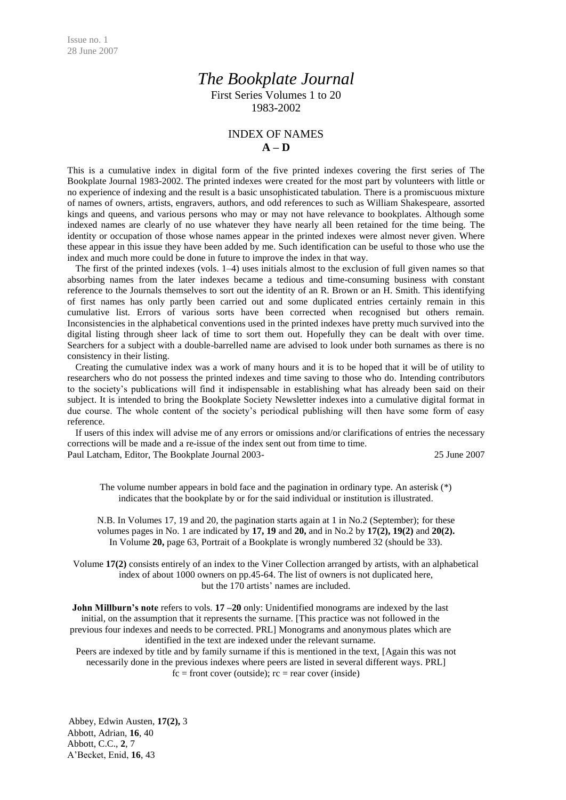## *The Bookplate Journal*

First Series Volumes 1 to 20 1983-2002

## INDEX OF NAMES **A – D**

This is a cumulative index in digital form of the five printed indexes covering the first series of The Bookplate Journal 1983-2002. The printed indexes were created for the most part by volunteers with little or no experience of indexing and the result is a basic unsophisticated tabulation. There is a promiscuous mixture of names of owners, artists, engravers, authors, and odd references to such as William Shakespeare, assorted kings and queens, and various persons who may or may not have relevance to bookplates. Although some indexed names are clearly of no use whatever they have nearly all been retained for the time being. The identity or occupation of those whose names appear in the printed indexes were almost never given. Where these appear in this issue they have been added by me. Such identification can be useful to those who use the index and much more could be done in future to improve the index in that way.

The first of the printed indexes (vols. 1–4) uses initials almost to the exclusion of full given names so that absorbing names from the later indexes became a tedious and time-consuming business with constant reference to the Journals themselves to sort out the identity of an R. Brown or an H. Smith. This identifying of first names has only partly been carried out and some duplicated entries certainly remain in this cumulative list. Errors of various sorts have been corrected when recognised but others remain. Inconsistencies in the alphabetical conventions used in the printed indexes have pretty much survived into the digital listing through sheer lack of time to sort them out. Hopefully they can be dealt with over time. Searchers for a subject with a double-barrelled name are advised to look under both surnames as there is no consistency in their listing.

Creating the cumulative index was a work of many hours and it is to be hoped that it will be of utility to researchers who do not possess the printed indexes and time saving to those who do. Intending contributors to the society's publications will find it indispensable in establishing what has already been said on their subject. It is intended to bring the Bookplate Society Newsletter indexes into a cumulative digital format in due course. The whole content of the society's periodical publishing will then have some form of easy reference.

If users of this index will advise me of any errors or omissions and/or clarifications of entries the necessary corrections will be made and a re-issue of the index sent out from time to time.

Paul Latcham, Editor, The Bookplate Journal 2003- 25 June 2007

The volume number appears in bold face and the pagination in ordinary type. An asterisk (\*) indicates that the bookplate by or for the said individual or institution is illustrated.

N.B. In Volumes 17, 19 and 20, the pagination starts again at 1 in No.2 (September); for these volumes pages in No. 1 are indicated by **17, 19** and **20,** and in No.2 by **17(2), 19(2)** and **20(2).** In Volume **20,** page 63, Portrait of a Bookplate is wrongly numbered 32 (should be 33).

Volume **17(2)** consists entirely of an index to the Viner Collection arranged by artists, with an alphabetical index of about 1000 owners on pp.45-64. The list of owners is not duplicated here, but the 170 artists' names are included.

**John Millburn's note** refers to vols. **17** – **20** only: Unidentified monograms are indexed by the last initial, on the assumption that it represents the surname. [This practice was not followed in the previous four indexes and needs to be corrected. PRL] Monograms and anonymous plates which are identified in the text are indexed under the relevant surname.

Peers are indexed by title and by family surname if this is mentioned in the text, [Again this was not necessarily done in the previous indexes where peers are listed in several different ways. PRL]  $fc = front cover (outside); rc = rear cover (inside)$ 

Abbey, Edwin Austen, **17(2),** 3 Abbott, Adrian, **16**, 40 Abbott, C.C., **2**, 7 A'Becket, Enid, **16**, 43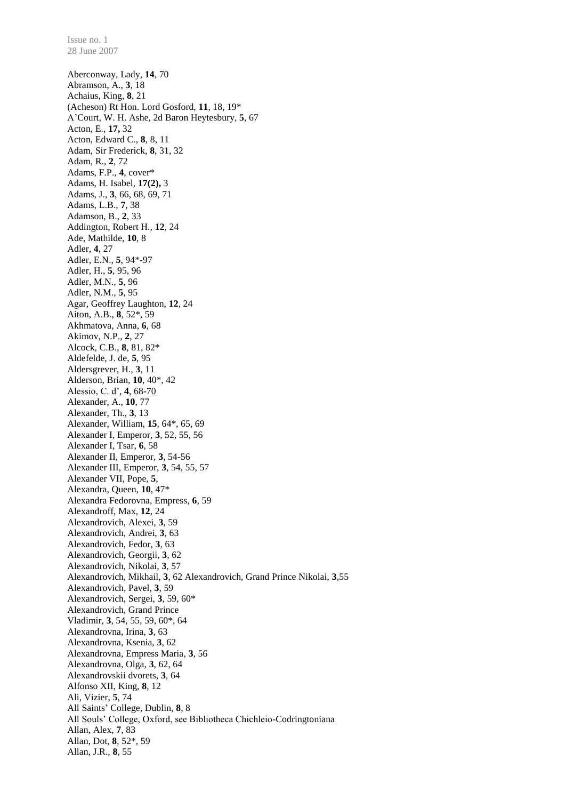Aberconway, Lady, **14**, 70 Abramson, A., **3**, 18 Achaius, King, **8**, 21 (Acheson) Rt Hon. Lord Gosford, **11**, 18, 19\* A'Court, W. H. Ashe, 2d Baron Heytesbury, **5**, 67 Acton, E., **17,** 32 Acton, Edward C., **8**, 8, 11 Adam, Sir Frederick, **8**, 31, 32 Adam, R., **2**, 72 Adams, F.P., **4**, cover\* Adams, H. Isabel, **17(2),** 3 Adams, J., **3**, 66, 68, 69, 71 Adams, L.B., **7**, 38 Adamson, B., **2**, 33 Addington, Robert H., **12**, 24 Ade, Mathilde, **10**, 8 Adler, **4**, 27 Adler, E.N., **5**, 94\*-97 Adler, H., **5**, 95, 96 Adler, M.N., **5**, 96 Adler, N.M., **5**, 95 Agar, Geoffrey Laughton, **12**, 24 Aiton, A.B., **8**, 52\*, 59 Akhmatova, Anna, **6**, 68 Akimov, N.P., **2**, 27 Alcock, C.B., **8**, 81, 82\* Aldefelde, J. de, **5**, 95 Aldersgrever, H., **3**, 11 Alderson, Brian, **10**, 40\*, 42 Alessio, C. d', **4**, 68-70 Alexander, A., **10**, 77 Alexander, Th., **3**, 13 Alexander, William, **15**, 64\*, 65, 69 Alexander I, Emperor, **3**, 52, 55, 56 Alexander I, Tsar, **6**, 58 Alexander II, Emperor, **3**, 54-56 Alexander III, Emperor, **3**, 54, 55, 57 Alexander VII, Pope, **5**, Alexandra, Queen, **10**, 47\* Alexandra Fedorovna, Empress, **6**, 59 Alexandroff, Max, **12**, 24 Alexandrovich, Alexei, **3**, 59 Alexandrovich, Andrei, **3**, 63 Alexandrovich, Fedor, **3**, 63 Alexandrovich, Georgii, **3**, 62 Alexandrovich, Nikolai, **3**, 57 Alexandrovich, Mikhail, **3**, 62 Alexandrovich, Grand Prince Nikolai, **3**,55 Alexandrovich, Pavel, **3**, 59 Alexandrovich, Sergei, **3**, 59, 60\* Alexandrovich, Grand Prince Vladimir, **3**, 54, 55, 59, 60\*, 64 Alexandrovna, Irina, **3**, 63 Alexandrovna, Ksenia, **3**, 62 Alexandrovna, Empress Maria, **3**, 56 Alexandrovna, Olga, **3**, 62, 64 Alexandrovskii dvorets, **3**, 64 Alfonso XII, King, **8**, 12 Ali, Vizier, **5**, 74 All Saints' College, Dublin, **8**, 8 All Souls' College, Oxford, see Bibliotheca Chichleio-Codringtoniana Allan, Alex, **7**, 83 Allan, Dot, **8**, 52\*, 59 Allan, J.R., **8**, 55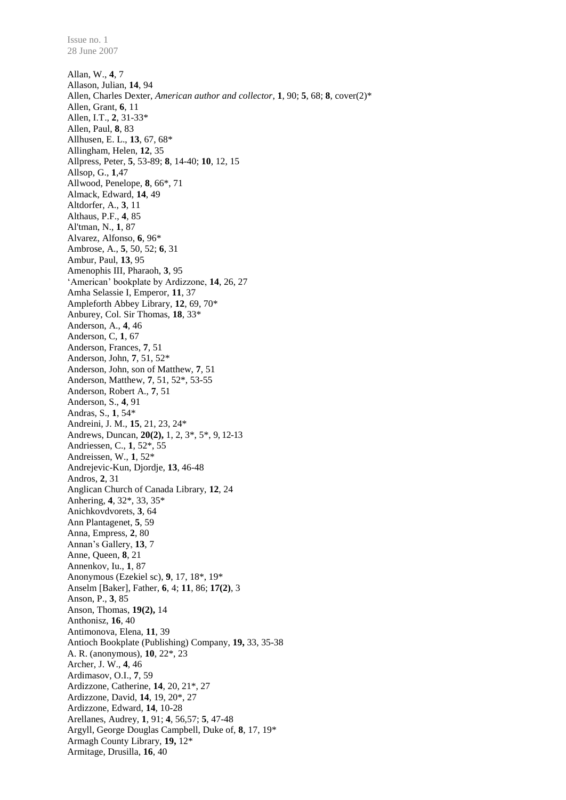Allan, W., **4**, 7 Allason, Julian, **14**, 94 Allen, Charles Dexter, *American author and collector*, **1**, 90; **5**, 68; **8**, cover(2)\* Allen, Grant, **6**, 11 Allen, I.T., **2**, 31-33\* Allen, Paul, **8**, 83 Allhusen, E. L., **13**, 67, 68\* Allingham, Helen, **12**, 35 Allpress, Peter, **5**, 53-89; **8**, 14-40; **10**, 12, 15 Allsop, G., **1**,47 Allwood, Penelope, **8**, 66\*, 71 Almack, Edward, **14**, 49 Altdorfer, A., **3**, 11 Althaus, P.F., **4**, 85 Al'tman, N., **1**, 87 Alvarez, Alfonso, **6**, 96\* Ambrose, A., **5**, 50, 52; **6**, 31 Ambur, Paul, **13**, 95 Amenophis III, Pharaoh, **3**, 95 'American' bookplate by Ardizzone, **14**, 26, 27 Amha Selassie I, Emperor, **11**, 37 Ampleforth Abbey Library, **12**, 69, 70\* Anburey, Col. Sir Thomas, **18**, 33\* Anderson, A., **4**, 46 Anderson, C, **1**, 67 Anderson, Frances, **7**, 51 Anderson, John, **7**, 51, 52\* Anderson, John, son of Matthew, **7**, 51 Anderson, Matthew, **7**, 51, 52\*, 53-55 Anderson, Robert A., **7**, 51 Anderson, S., **4**, 91 Andras, S., **1**, 54\* Andreini, J. M., **15**, 21, 23, 24\* Andrews, Duncan, **20(2),** 1, 2, 3\*, 5\*, 9, 12-13 Andriessen, C., **1**, 52\*, 55 Andreissen, W., **1**, 52\* Andrejevic-Kun, Djordje, **13**, 46-48 Andros, **2**, 31 Anglican Church of Canada Library, **12**, 24 Anhering, **4**, 32\*, 33, 35\* Anichkovdvorets, **3**, 64 Ann Plantagenet, **5**, 59 Anna, Empress, **2**, 80 Annan's Gallery, **13**, 7 Anne, Queen, **8**, 21 Annenkov, Iu., **1**, 87 Anonymous (Ezekiel sc), **9**, 17, 18\*, 19\* Anselm [Baker], Father, **6**, 4; **11**, 86; **17(2)**, 3 Anson, P., **3**, 85 Anson, Thomas, **19(2),** 14 Anthonisz, **16**, 40 Antimonova, Elena, **11**, 39 Antioch Bookplate (Publishing) Company, **19,** 33, 35-38 A. R. (anonymous), **10**, 22\*, 23 Archer, J. W., **4**, 46 Ardimasov, O.I., **7**, 59 Ardizzone, Catherine, **14**, 20, 21\*, 27 Ardizzone, David, **14**, 19, 20\*, 27 Ardizzone, Edward, **14**, 10-28 Arellanes, Audrey, **1**, 91; **4**, 56,57; **5**, 47-48 Argyll, George Douglas Campbell, Duke of, **8**, 17, 19\* Armagh County Library, **19,** 12\* Armitage, Drusilla, **16**, 40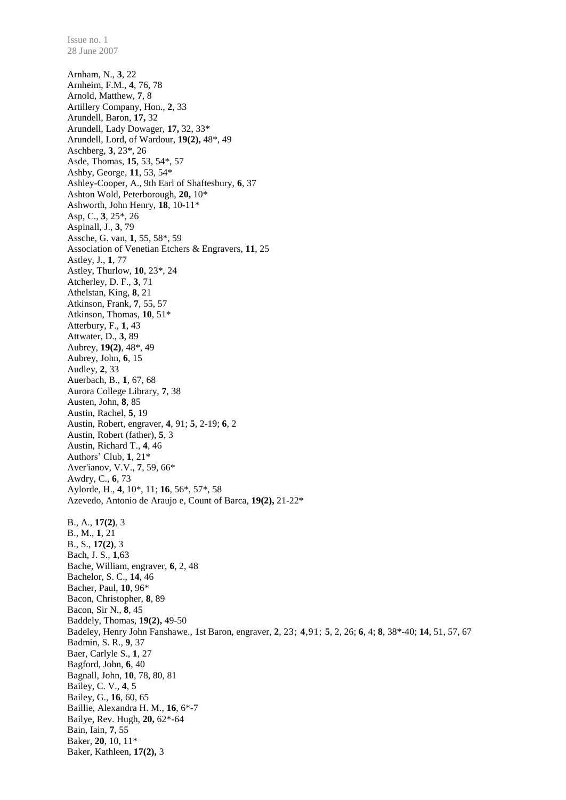Arnham, N., **3**, 22 Arnheim, F.M., **4**, 76, 78 Arnold, Matthew, **7**, 8 Artillery Company, Hon., **2**, 33 Arundell, Baron, **17,** 32 Arundell, Lady Dowager, **17,** 32, 33\* Arundell, Lord, of Wardour, **19(2),** 48\*, 49 Aschberg, **3**, 23\*, 26 Asde, Thomas, **15**, 53, 54\*, 57 Ashby, George, **11**, 53, 54\* Ashley-Cooper, A., 9th Earl of Shaftesbury, **6**, 37 Ashton Wold, Peterborough, **20,** 10\* Ashworth, John Henry, **18**, 10-11\* Asp, C., **3**, 25\*, 26 Aspinall, J., **3**, 79 Assche, G. van, **1**, 55, 58\*, 59 Association of Venetian Etchers & Engravers, **11**, 25 Astley, J., **1**, 77 Astley, Thurlow, **10**, 23\*, 24 Atcherley, D. F., **3**, 71 Athelstan, King, **8**, 21 Atkinson, Frank, **7**, 55, 57 Atkinson, Thomas, **10**, 51\* Atterbury, F., **1**, 43 Attwater, D., **3**, 89 Aubrey, **19(2)**, 48\*, 49 Aubrey, John, **6**, 15 Audley, **2**, 33 Auerbach, B., **1**, 67, 68 Aurora College Library, **7**, 38 Austen, John, **8**, 85 Austin, Rachel, **5**, 19 Austin, Robert, engraver, **4**, 91; **5**, 2-19; **6**, 2 Austin, Robert (father), **5**, 3 Austin, Richard T., **4**, 46 Authors' Club, **1**, 21\* Aver'ianov, V.V., **7**, 59, 66\* Awdry, C., **6**, 73 Aylorde, H., **4**, 10\*, 11; **16**, 56\*, 57\*, 58 Azevedo, Antonio de Araujo e, Count of Barca, **19(2),** 21-22\* B., A., **17(2)**, 3 B., M., **1**, 21 B., S., **17(2)**, 3 Bach, J. S., **1**,63 Bache, William, engraver, **6**, 2, 48 Bachelor, S. C., **14**, 46 Bacher, Paul, **10**, 96\* Bacon, Christopher, **8**, 89 Bacon, Sir N., **8**, 45 Baddely, Thomas, **19(2),** 49-50 Badeley, Henry John Fanshawe., 1st Baron, engraver, **2**, 23; **4**,91; **5**, 2, 26; **6**, 4; **8**, 38\*-40; **14**, 51, 57, 67 Badmin, S. R., **9**, 37 Baer, Carlyle S., **1**, 27 Bagford, John, **6**, 40 Bagnall, John, **10**, 78, 80, 81 Bailey, C. V., **4**, 5 Bailey, G., **16**, 60, 65 Baillie, Alexandra H. M., **16**, 6\*-7 Bailye, Rev. Hugh, **20,** 62\*-64 Bain, Iain, **7**, 55 Baker, **20**, 10, 11\* Baker, Kathleen, **17(2),** 3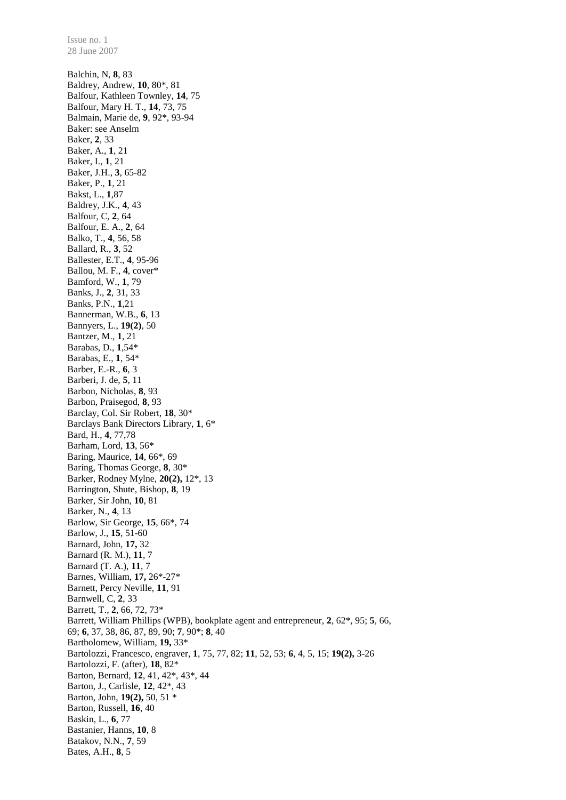28 June 2007 Balchin, N, **8**, 83 Baldrey, Andrew, **10**, 80\*, 81 Balfour, Kathleen Townley, **14**, 75 Balfour, Mary H. T., **14**, 73, 75 Balmain, Marie de, **9**, 92\*, 93-94 Baker: see Anselm Baker, **2**, 33 Baker, A., **1**, 21 Baker, I., **1**, 21 Baker, J.H., **3**, 65-82 Baker, P., **1**, 21 Bakst, L., **1**,87 Baldrey, J.K., **4**, 43 Balfour, C, **2**, 64 Balfour, E. A., **2**, 64 Balko, T., **4**, 56, 58 Ballard, R., **3**, 52 Ballester, E.T., **4**, 95-96 Ballou, M. F., **4**, cover\* Bamford, W., **1**, 79 Banks, J., **2**, 31, 33 Banks, P.N., **1**,21 Bannerman, W.B., **6**, 13 Bannyers, L., **19(2)**, 50 Bantzer, M., **1**, 21 Barabas, D., **1**,54\* Barabas, E., **1**, 54\* Barber, E.-R., **6**, 3 Barberi, J. de, **5**, 11 Barbon, Nicholas, **8**, 93 Barbon, Praisegod, **8**, 93 Barclay, Col. Sir Robert, **18**, 30\* Barclays Bank Directors Library, **1**, 6\* Bard, H., **4**, 77,78 Barham, Lord, **13**, 56\* Baring, Maurice, **14**, 66\*, 69 Baring, Thomas George, **8**, 30\* Barker, Rodney Mylne, **20(2),** 12\*, 13 Barrington, Shute, Bishop, **8**, 19 Barker, Sir John, **10**, 81 Barker, N., **4**, 13 Barlow, Sir George, **15**, 66\*, 74 Barlow, J., **15**, 51-60 Barnard, John, **17,** 32 Barnard (R. M.), **11**, 7 Barnard (T. A.), **11**, 7 Barnes, William, **17,** 26\*-27\* Barnett, Percy Neville, **11**, 91 Barnwell, C, **2**, 33 Barrett, T., **2**, 66, 72, 73\* Barrett, William Phillips (WPB), bookplate agent and entrepreneur, **2**, 62\*, 95; **5**, 66, 69; **6**, 37, 38, 86, 87, 89, 90; **7***,* 90\*; **8**, 40 Bartholomew, William, **19,** 33\* Bartolozzi, Francesco, engraver, **1**, 75, 77, 82; **11**, 52, 53; **6**, 4, 5, 15; **19(2),** 3-26 Bartolozzi, F. (after), **18**, 82\* Barton, Bernard, **12**, 41, 42\*, 43\*, 44 Barton, J., Carlisle, **12**, 42\*, 43 Barton, John, **19(2),** 50, 51 \* Barton, Russell, **16**, 40 Baskin, L., **6**, 77 Bastanier, Hanns, **10**, 8 Batakov, N.N., **7**, 59 Bates, A.H., **8**, 5

Issue no. 1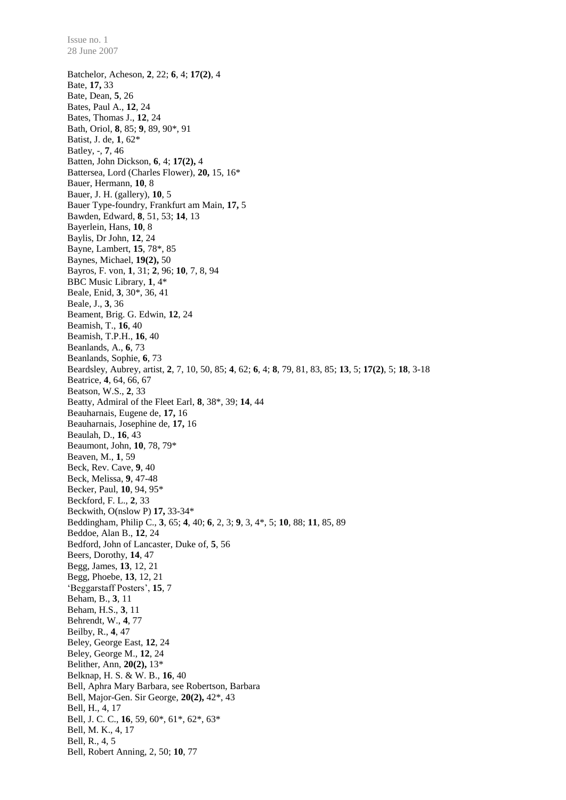28 June 2007 Batchelor, Acheson, **2**, 22; **6**, 4; **17(2)**, 4 Bate, **17,** 33 Bate, Dean, **5**, 26 Bates, Paul A., **12**, 24 Bates, Thomas J., **12**, 24 Bath, Oriol, **8**, 85; **9**, 89, 90\*, 91 Batist, J. de, **1**, 62\* Batley, -, **7**, 46 Batten, John Dickson, **6**, 4; **17(2),** 4 Battersea, Lord (Charles Flower), **20,** 15, 16\* Bauer, Hermann, **10**, 8 Bauer, J. H. (gallery), **10**, 5 Bauer Type-foundry, Frankfurt am Main, **17,** 5 Bawden, Edward, **8**, 51, 53; **14**, 13 Bayerlein, Hans, **10**, 8 Baylis, Dr John, **12**, 24 Bayne, Lambert, **15**, 78\*, 85 Baynes, Michael, **19(2),** 50 Bayros, F. von, **1**, 31; **2**, 96; **10**, 7, 8, 94 BBC Music Library, **1**, 4\* Beale, Enid, **3**, 30\*, 36, 41 Beale, J., **3**, 36 Beament, Brig. G. Edwin, **12**, 24 Beamish, T., **16**, 40 Beamish, T.P.H., **16**, 40 Beanlands, A., **6**, 73 Beanlands, Sophie, **6**, 73 Beardsley, Aubrey, artist, **2**, 7, 10, 50, 85; **4**, 62; **6**, 4; **8**, 79, 81, 83, 85; **13**, 5; **17(2)**, 5; **18**, 3-18 Beatrice, **4**, 64, 66, 67 Beatson, W.S., **2**, 33 Beatty, Admiral of the Fleet Earl, **8**, 38\*, 39; **14**, 44 Beauharnais, Eugene de, **17,** 16 Beauharnais, Josephine de, **17,** 16 Beaulah, D., **16**, 43 Beaumont, John, **10**, 78, 79\* Beaven, M., **1**, 59 Beck, Rev. Cave, **9**, 40 Beck, Melissa, **9**, 47-48 Becker, Paul, **10**, 94, 95\* Beckford, F. L., **2**, 33 Beckwith, O(nslow P) **17,** 33-34\* Beddingham, Philip C., **3**, 65; **4**, 40; **6**, 2, 3; **9**, 3, 4\*, 5; **10**, 88; **11**, 85, 89 Beddoe, Alan B., **12**, 24 Bedford, John of Lancaster, Duke of, **5**, 56 Beers, Dorothy, **14**, 47 Begg, James, **13**, 12, 21 Begg, Phoebe, **13**, 12, 21 'Beggarstaff Posters', **15**, 7 Beham, B., **3**, 11 Beham, H.S., **3**, 11 Behrendt, W., **4**, 77 Beilby, R., **4**, 47 Beley, George East, **12**, 24 Beley, George M., **12**, 24 Belither, Ann, **20(2),** 13\* Belknap, H. S. & W. B., **16**, 40 Bell, Aphra Mary Barbara, see Robertson, Barbara Bell, Major-Gen. Sir George, **20(2),** 42\*, 43 Bell, H., 4, 17 Bell, J. C. C., **16**, 59, 60\*, 61\*, 62\*, 63\* Bell, M. K., 4, 17 Bell, R., 4, 5 Bell, Robert Anning, 2, 50; **10**, 77

Issue no. 1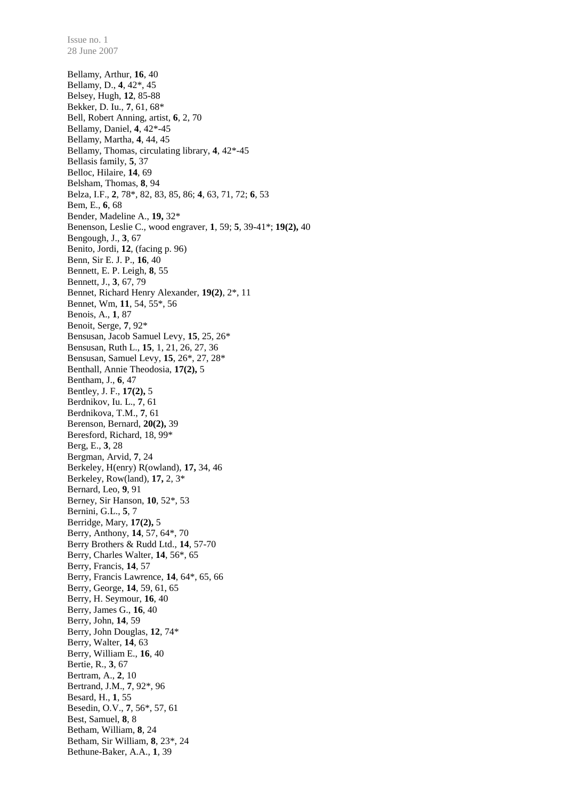Bellamy, Arthur, **16**, 40 Bellamy, D., **4**, 42\*, 45 Belsey, Hugh, **12**, 85-88 Bekker, D. Iu., **7**, 61, 68\* Bell, Robert Anning, artist, **6**, 2, 70 Bellamy, Daniel, **4**, 42\*-45 Bellamy, Martha, **4**, 44, 45 Bellamy, Thomas, circulating library, **4**, 42\*-45 Bellasis family, **5**, 37 Belloc, Hilaire, **14**, 69 Belsham, Thomas, **8**, 94 Belza, I.F., **2**, 78\*, 82, 83, 85, 86; **4**, 63, 71, 72; **6**, 53 Bem, E., **6**, 68 Bender, Madeline A., **19,** 32\* Benenson, Leslie C., wood engraver, **1**, 59; **5**, 39-41\*; **19(2),** 40 Bengough, J., **3**, 67 Benito, Jordi, **12**, (facing p. 96) Benn, Sir E. J. P., **16**, 40 Bennett, E. P. Leigh, **8**, 55 Bennett, J., **3**, 67, 79 Bennet, Richard Henry Alexander, **19(2)**, 2\*, 11 Bennet, Wm, **11**, 54, 55\*, 56 Benois, A., **1**, 87 Benoit, Serge, **7**, 92\* Bensusan, Jacob Samuel Levy, **15**, 25, 26\* Bensusan, Ruth L., **15**, 1, 21, 26, 27, 36 Bensusan, Samuel Levy, **15**, 26\*, 27, 28\* Benthall, Annie Theodosia, **17(2),** 5 Bentham, J., **6**, 47 Bentley, J. F., **17(2),** 5 Berdnikov, Iu. L., **7**, 61 Berdnikova, T.M., **7**, 61 Berenson, Bernard, **20(2),** 39 Beresford, Richard, 18, 99\* Berg, E., **3**, 28 Bergman, Arvid, **7**, 24 Berkeley, H(enry) R(owland), **17,** 34, 46 Berkeley, Row(land), **17,** 2, 3\* Bernard, Leo, **9**, 91 Berney, Sir Hanson, **10**, 52\*, 53 Bernini, G.L., **5**, 7 Berridge, Mary, **17(2),** 5 Berry, Anthony, **14**, 57, 64\*, 70 Berry Brothers & Rudd Ltd., **14**, 57-70 Berry, Charles Walter, **14**, 56\*, 65 Berry, Francis, **14**, 57 Berry, Francis Lawrence, **14**, 64\*, 65, 66 Berry, George, **14**, 59, 61, 65 Berry, H. Seymour, **16**, 40 Berry, James G., **16**, 40 Berry, John, **14**, 59 Berry, John Douglas, **12**, 74\* Berry, Walter, **14**, 63 Berry, William E., **16**, 40 Bertie, R., **3**, 67 Bertram, A., **2**, 10 Bertrand, J.M., **7**, 92\*, 96 Besard, H., **1**, 55 Besedin, O.V., **7**, 56\*, 57, 61 Best, Samuel, **8**, 8 Betham, William, **8**, 24 Betham, Sir William, **8**, 23\*, 24 Bethune-Baker, A.A., **1**, 39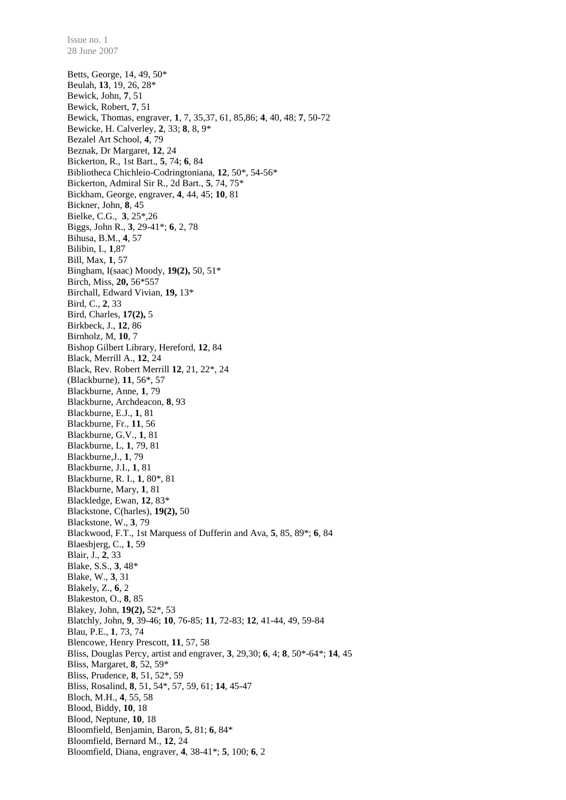Betts, George, 14, 49, 50\* Beulah, **13**, 19, 26, 28\* Bewick, John, **7**, 51 Bewick, Robert, **7**, 51 Bewick, Thomas, engraver, **1**, 7, 35,37, 61, 85,86; **4**, 40, 48; **7**, 50-72 Bewicke, H. Calverley, **2**, 33; **8**, 8, 9\* Bezalel Art School, **4**, 79 Beznak, Dr Margaret, **12**, 24 Bickerton, R., 1st Bart., **5**, 74; **6**, 84 Bibliotheca Chichleio-Codringtoniana, **12**, 50\*, 54-56\* Bickerton, Admiral Sir R., 2d Bart., **5**, 74, 75\* Bickham, George, engraver, **4**, 44, 45; **10**, 81 Bickner, John, **8**, 45 Bielke, C.G., **3**, 25\*,26 Biggs, John R., **3**, 29-41\*; **6**, 2, 78 Bihusa, B.M., **4**, 57 Bilibin, I., **1**,87 Bill, Max, **1**, 57 Bingham, I(saac) Moody, **19(2),** 50, 51\* Birch, Miss, **20,** 56\*557 Birchall, Edward Vivian, **19,** 13\* Bird, C., **2**, 33 Bird, Charles, **17(2),** 5 Birkbeck, J., **12**, 86 Birnholz, M, **10**, 7 Bishop Gilbert Library, Hereford, **12**, 84 Black, Merrill A., **12**, 24 Black, Rev. Robert Merrill **12**, 21, 22\*, 24 (Blackburne), **11**, 56\*, 57 Blackburne, Anne, **1**, 79 Blackburne, Archdeacon, **8**, 93 Blackburne, E.J., **1**, 81 Blackburne, Fr., **11**, 56 Blackburne, G.V., **1**, 81 Blackburne, L, **1**, 79, 81 Blackburne,J., **1**, 79 Blackburne, J.I., **1**, 81 Blackburne, R. I., **1**, 80\*, 81 Blackburne, Mary, **1**, 81 Blackledge, Ewan, **12**, 83\* Blackstone, C(harles), **19(2),** 50 Blackstone, W., **3**, 79 Blackwood, F.T., 1st Marquess of Dufferin and Ava, **5**, 85, 89\*; **6**, 84 Blaesbjerg, C., **1**, 59 Blair, J., **2**, 33 Blake, S.S., **3**, 48\* Blake, W., **3**, 31 Blakely, Z., **6**, 2 Blakeston, O., **8**, 85 Blakey, John, **19(2),** 52\*, 53 Blatchly, John, **9**, 39-46; **10**, 76-85; **11**, 72-83; **12**, 41-44, 49, 59-84 Blau, P.E., **1**, 73, 74 Blencowe, Henry Prescott, **11**, 57, 58 Bliss, Douglas Percy, artist and engraver, **3**, 29,30; **6**, 4; **8**, 50\*-64\*; **14**, 45 Bliss, Margaret, **8**, 52, 59\* Bliss, Prudence, **8**, 51, 52\*, 59 Bliss, Rosalind, **8**, 51, 54\*, 57, 59, 61; **14**, 45-47 Bloch, M.H., **4**, 55, 58 Blood, Biddy, **10**, 18 Blood, Neptune, **10**, 18 Bloomfield, Benjamin, Baron, **5**, 81; **6**, 84\* Bloomfield, Bernard M., **12**, 24 Bloomfield, Diana, engraver, **4**, 38-41\*; **5**, 100; **6**, 2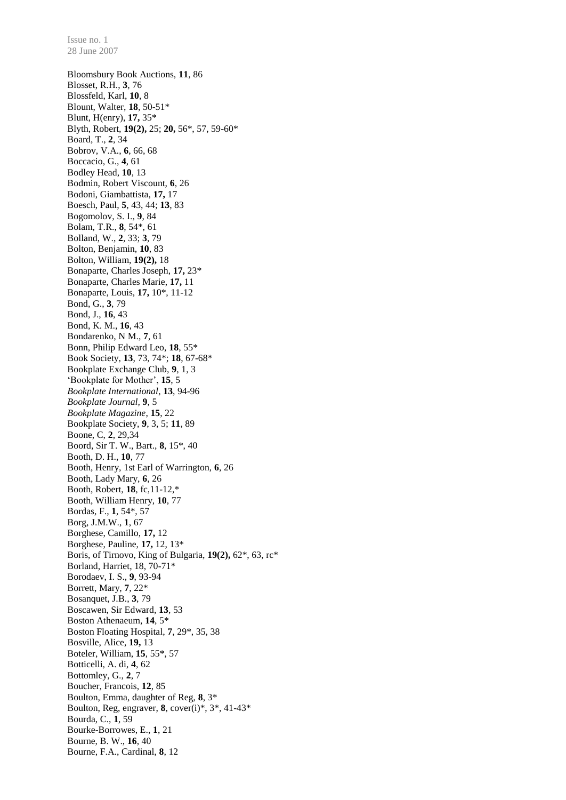Bloomsbury Book Auctions, **11**, 86 Blosset, R.H., **3**, 76 Blossfeld, Karl, **10**, 8 Blount, Walter, **18**, 50-51\* Blunt, H(enry), **17,** 35\* Blyth, Robert, **19(2),** 25; **20,** 56\*, 57, 59-60\* Board, T., **2**, 34 Bobrov, V.A., **6**, 66, 68 Boccacio, G., **4**, 61 Bodley Head, **10**, 13 Bodmin, Robert Viscount, **6**, 26 Bodoni, Giambattista, **17,** 17 Boesch, Paul, **5**, 43, 44; **13**, 83 Bogomolov, S. I., **9**, 84 Bolam, T.R., **8**, 54\*, 61 Bolland, W., **2**, 33; **3**, 79 Bolton, Benjamin, **10**, 83 Bolton, William, **19(2),** 18 Bonaparte, Charles Joseph, **17,** 23\* Bonaparte, Charles Marie, **17,** 11 Bonaparte, Louis, **17,** 10\*, 11-12 Bond, G., **3**, 79 Bond, J., **16**, 43 Bond, K. M., **16**, 43 Bondarenko, N M., **7**, 61 Bonn, Philip Edward Leo, **18**, 55\* Book Society, **13**, 73, 74\*; **18**, 67-68\* Bookplate Exchange Club, **9**, 1, 3 'Bookplate for Mother', **15**, 5 *Bookplate International*, **13**, 94-96 *Bookplate Journal,* **9**, 5 *Bookplate Magazine*, **15**, 22 Bookplate Society, **9**, 3, 5; **11**, 89 Boone, C, **2**, 29,34 Boord, Sir T. W., Bart., **8**, 15\*, 40 Booth, D. H., **10**, 77 Booth, Henry, 1st Earl of Warrington, **6**, 26 Booth, Lady Mary, **6**, 26 Booth, Robert, **18**, fc,11-12,\* Booth, William Henry, **10**, 77 Bordas, F., **1**, 54\*, 57 Borg, J.M.W., **1**, 67 Borghese, Camillo, **17,** 12 Borghese, Pauline, **17,** 12, 13\* Boris, of Tirnovo, King of Bulgaria, **19(2),** 62\*, 63, rc\* Borland, Harriet, 18, 70-71\* Borodaev, I. S., **9**, 93-94 Borrett, Mary, **7**, 22\* Bosanquet, J.B., **3**, 79 Boscawen, Sir Edward, **13**, 53 Boston Athenaeum, **14**, 5\* Boston Floating Hospital, **7**, 29\*, 35, 38 Bosville, Alice, **19,** 13 Boteler, William, **15**, 55\*, 57 Botticelli, A. di, **4**, 62 Bottomley, G., **2**, 7 Boucher, Francois, **12**, 85 Boulton, Emma, daughter of Reg, **8**, 3\* Boulton, Reg, engraver, **8**, cover(i)\*, 3\*, 41-43\* Bourda, C., **1**, 59 Bourke-Borrowes, E., **1**, 21 Bourne, B. W., **16**, 40 Bourne, F.A., Cardinal, **8**, 12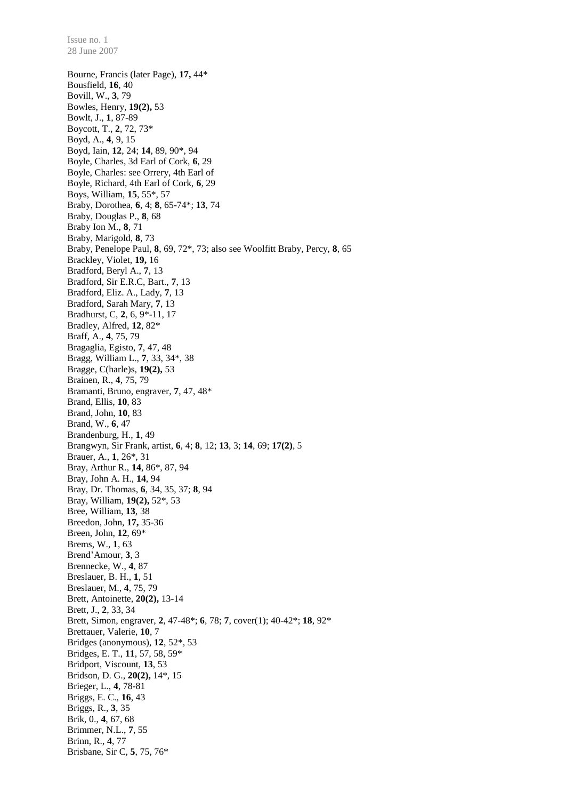Bourne, Francis (later Page), **17,** 44\* Bousfield, **16**, 40 Bovill, W., **3**, 79 Bowles, Henry, **19(2),** 53 Bowlt, J., **1**, 87-89 Boycott, T., **2**, 72, 73\* Boyd, A., **4**, 9, 15 Boyd, Iain, **12**, 24; **14**, 89, 90\*, 94 Boyle, Charles, 3d Earl of Cork, **6**, 29 Boyle, Charles: see Orrery, 4th Earl of Boyle, Richard, 4th Earl of Cork, **6**, 29 Boys, William, **15**, 55\*, 57 Braby, Dorothea, **6**, 4; **8**, 65-74\*; **13**, 74 Braby, Douglas P., **8**, 68 Braby Ion M., **8**, 71 Braby, Marigold, **8**, 73 Braby, Penelope Paul, **8**, 69, 72\*, 73; also see Woolfitt Braby, Percy, **8**, 65 Brackley, Violet, **19,** 16 Bradford, Beryl A., **7**, 13 Bradford, Sir E.R.C, Bart., **7**, 13 Bradford, Eliz. A., Lady, **7**, 13 Bradford, Sarah Mary, **7**, 13 Bradhurst, C, **2**, 6, 9\*-11, 17 Bradley, Alfred, **12**, 82\* Braff, A., **4**, 75, 79 Bragaglia, Egisto, **7**, 47, 48 Bragg, William L., **7**, 33, 34\*, 38 Bragge, C(harle)s, **19(2),** 53 Brainen, R., **4**, 75, 79 Bramanti, Bruno, engraver, **7**, 47, 48\* Brand, Ellis, **10**, 83 Brand, John, **10**, 83 Brand, W., **6**, 47 Brandenburg, H., **1**, 49 Brangwyn, Sir Frank, artist, **6**, 4; **8**, 12; **13**, 3; **14**, 69; **17(2)**, 5 Brauer, A., **1**, 26\*, 31 Bray, Arthur R., **14**, 86\*, 87, 94 Bray, John A. H., **14**, 94 Bray, Dr. Thomas, **6**, 34, 35, 37; **8**, 94 Bray, William, **19(2),** 52\*, 53 Bree, William, **13**, 38 Breedon, John, **17,** 35-36 Breen, John, **12**, 69\* Brems, W., **1**, 63 Brend'Amour, **3**, 3 Brennecke, W., **4**, 87 Breslauer, B. H., **1**, 51 Breslauer, M., **4**, 75, 79 Brett, Antoinette, **20(2),** 13-14 Brett, J., **2**, 33, 34 Brett, Simon, engraver, **2**, 47-48\*; **6**, 78; **7**, cover(1); 40-42\*; **18**, 92\* Brettauer, Valerie, **10**, 7 Bridges (anonymous), **12**, 52\*, 53 Bridges, E. T., **11**, 57, 58, 59\* Bridport, Viscount, **13**, 53 Bridson, D. G., **20(2),** 14\*, 15 Brieger, L., **4**, 78-81 Briggs, E. C., **16**, 43 Briggs, R., **3**, 35 Brik, 0., **4**, 67, 68 Brimmer, N.L., **7**, 55 Brinn, R., **4**, 77 Brisbane, Sir C, **5**, 75, 76\*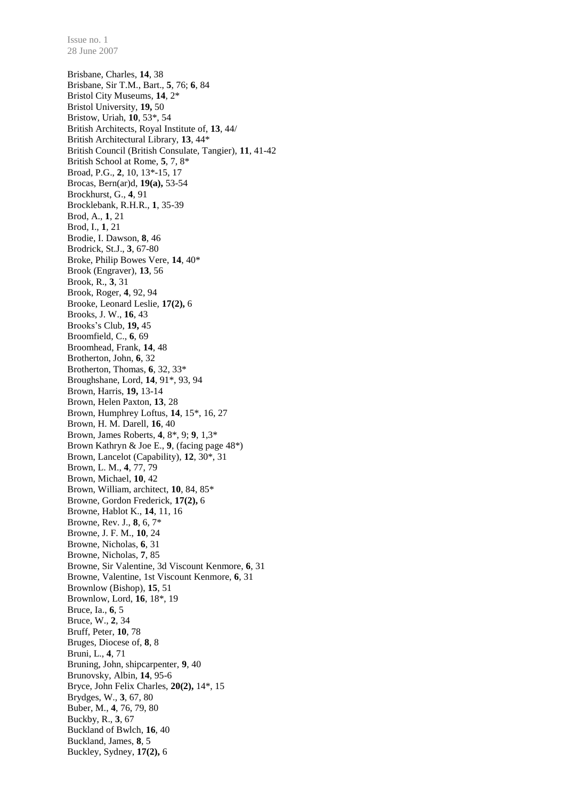Brisbane, Charles, **14**, 38 Brisbane, Sir T.M., Bart., **5**, 76; **6**, 84 Bristol City Museums, **14**, 2\* Bristol University, **19,** 50 Bristow, Uriah, **10**, 53\*, 54 British Architects, Royal Institute of, **13**, 44/ British Architectural Library, **13**, 44\* British Council (British Consulate, Tangier), **11**, 41-42 British School at Rome, **5**, 7, 8\* Broad, P.G., **2**, 10, 13\*-15, 17 Brocas, Bern(ar)d, **19(a),** 53-54 Brockhurst, G., **4**, 91 Brocklebank, R.H.R., **1**, 35-39 Brod, A., **1**, 21 Brod, I., **1**, 21 Brodie, I. Dawson, **8**, 46 Brodrick, St.J., **3**, 67-80 Broke, Philip Bowes Vere, **14**, 40\* Brook (Engraver), **13**, 56 Brook, R., **3**, 31 Brook, Roger, **4**, 92, 94 Brooke, Leonard Leslie, **17(2),** 6 Brooks, J. W., **16**, 43 Brooks's Club, **19,** 45 Broomfield, C., **6**, 69 Broomhead, Frank, **14**, 48 Brotherton, John, **6**, 32 Brotherton, Thomas, **6**, 32, 33\* Broughshane, Lord, **14**, 91\*, 93, 94 Brown, Harris, **19,** 13-14 Brown, Helen Paxton, **13**, 28 Brown, Humphrey Loftus, **14**, 15\*, 16, 27 Brown, H. M. Darell, **16**, 40 Brown, James Roberts, **4**, 8\*, 9; **9**, 1,3\* Brown Kathryn & Joe E., **9**, (facing page 48\*) Brown, Lancelot (Capability), **12**, 30\*, 31 Brown, L. M., **4**, 77, 79 Brown, Michael, **10**, 42 Brown, William, architect, **10**, 84, 85\* Browne, Gordon Frederick, **17(2),** 6 Browne, Hablot K., **14**, 11, 16 Browne, Rev. J., **8**, 6, 7\* Browne, J. F. M., **10**, 24 Browne, Nicholas, **6**, 31 Browne, Nicholas, **7**, 85 Browne, Sir Valentine, 3d Viscount Kenmore, **6**, 31 Browne, Valentine, 1st Viscount Kenmore, **6**, 31 Brownlow (Bishop), **15**, 51 Brownlow, Lord, **16**, 18\*, 19 Bruce, Ia., **6**, 5 Bruce, W., **2**, 34 Bruff, Peter, **10**, 78 Bruges, Diocese of, **8**, 8 Bruni, L., **4**, 71 Bruning, John, shipcarpenter, **9**, 40 Brunovsky, Albin, **14**, 95-6 Bryce, John Felix Charles, **20(2),** 14\*, 15 Brydges, W., **3**, 67, 80 Buber, M., **4**, 76, 79, 80 Buckby, R., **3**, 67 Buckland of Bwlch, **16**, 40 Buckland, James, **8**, 5 Buckley, Sydney, **17(2),** 6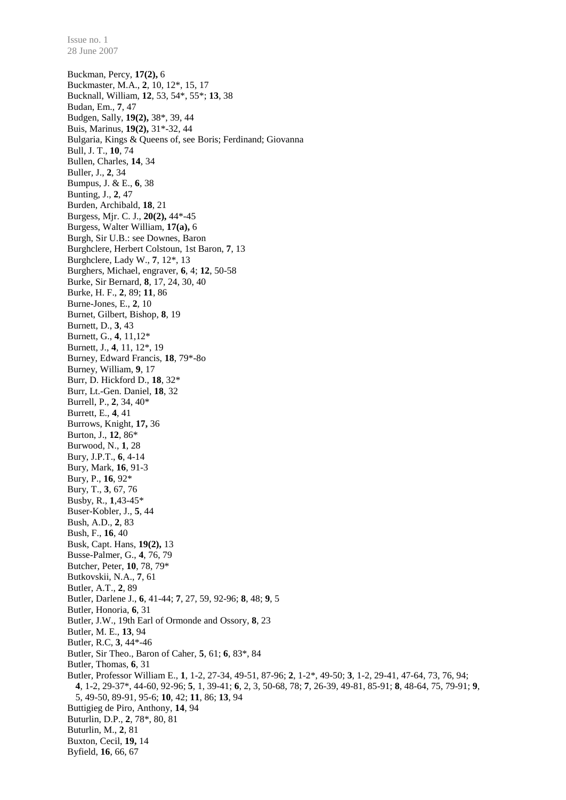Buckman, Percy, **17(2),** 6 Buckmaster, M.A., **2**, 10, 12\*, 15, 17 Bucknall, William, **12**, 53, 54\*, 55\*; **13**, 38 Budan, Em., **7**, 47 Budgen, Sally, **19(2),** 38\*, 39, 44 Buis, Marinus, **19(2),** 31\*-32, 44 Bulgaria, Kings & Queens of, see Boris; Ferdinand; Giovanna Bull, J. T., **10**, 74 Bullen, Charles, **14**, 34 Buller, J., **2**, 34 Bumpus, J. & E., **6**, 38 Bunting, J., **2**, 47 Burden, Archibald, **18**, 21 Burgess, Mjr. C. J., **20(2),** 44\*-45 Burgess, Walter William, **17(a),** 6 Burgh, Sir U.B.: see Downes, Baron Burghclere, Herbert Colstoun, 1st Baron, **7**, 13 Burghclere, Lady W., **7**, 12\*, 13 Burghers, Michael, engraver, **6**, 4; **12**, 50-58 Burke, Sir Bernard, **8**, 17, 24, 30, 40 Burke, H. F., **2**, 89; **11**, 86 Burne-Jones, E., **2**, 10 Burnet, Gilbert, Bishop, **8**, 19 Burnett, D., **3**, 43 Burnett, G., **4**, 11,12\* Burnett, J., **4**, 11, 12\*, 19 Burney, Edward Francis, **18**, 79\*-8o Burney, William, **9**, 17 Burr, D. Hickford D., **18**, 32\* Burr, Lt.-Gen. Daniel, **18**, 32 Burrell, P., **2**, 34, 40\* Burrett, E., **4**, 41 Burrows, Knight, **17,** 36 Burton, J., **12**, 86\* Burwood, N., **1**, 28 Bury, J.P.T., **6**, 4-14 Bury, Mark, **16**, 91-3 Bury, P., **16**, 92\* Bury, T., **3**, 67, 76 Busby, R., **1**,43-45\* Buser-Kobler, J., **5**, 44 Bush, A.D., **2**, 83 Bush, F., **16**, 40 Busk, Capt. Hans, **19(2),** 13 Busse-Palmer, G., **4**, 76, 79 Butcher, Peter, **10**, 78, 79\* Butkovskii, N.A., **7**, 61 Butler, A.T., **2**, 89 Butler, Darlene J., **6**, 41-44; **7**, 27, 59, 92-96; **8**, 48; **9**, 5 Butler, Honoria, **6**, 31 Butler, J.W., 19th Earl of Ormonde and Ossory, **8**, 23 Butler, M. E., **13**, 94 Butler, R.C, **3**, 44\*-46 Butler, Sir Theo., Baron of Caher, **5**, 61; **6**, 83\*, 84 Butler, Thomas, **6**, 31 Butler, Professor William E., **1**, 1-2, 27-34, 49-51, 87-96; **2**, 1-2\*, 49-50; **3**, 1-2, 29-41, 47-64, 73, 76, 94; **4**, 1-2, 29-37\*, 44-60, 92-96; **5**, 1, 39-41; **6**, 2, 3, 50-68, 78; **7**, 26-39, 49-81, 85-91; **8**, 48-64, 75, 79-91; **9**, 5, 49-50, 89-91, 95-6; **10**, 42; **11**, 86; **13**, 94 Buttigieg de Piro, Anthony, **14**, 94 Buturlin, D.P., **2**, 78\*, 80, 81 Buturlin, M., **2**, 81 Buxton, Cecil, **19,** 14 Byfield, **16**, 66, 67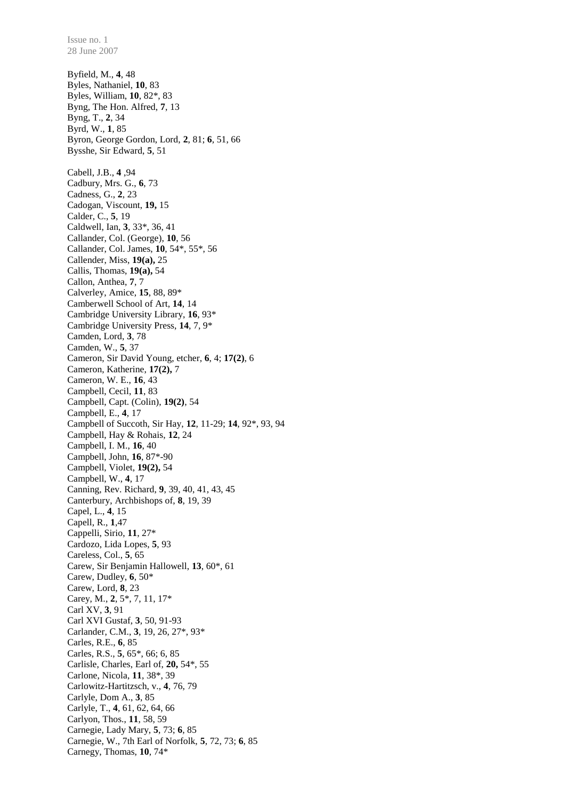28 June 2007 Byfield, M., **4**, 48 Byles, Nathaniel, **10**, 83 Byles, William, **10**, 82\*, 83 Byng, The Hon. Alfred, **7**, 13 Byng, T., **2**, 34 Byrd, W., **1**, 85 Byron, George Gordon, Lord, **2**, 81; **6**, 51, 66 Bysshe, Sir Edward, **5**, 51 Cabell, J.B., **4** ,94 Cadbury, Mrs. G., **6**, 73 Cadness, G., **2**, 23 Cadogan, Viscount, **19,** 15 Calder, C., **5**, 19 Caldwell, Ian, **3**, 33\*, 36, 41 Callander, Col. (George), **10**, 56 Callander, Col. James, **10**, 54\*, 55\*, 56 Callender, Miss, **19(a),** 25 Callis, Thomas, **19(a),** 54 Callon, Anthea, **7**, 7 Calverley, Amice, **15**, 88, 89\* Camberwell School of Art, **14**, 14 Cambridge University Library, **16**, 93\* Cambridge University Press, **14**, 7, 9\* Camden, Lord, **3**, 78 Camden, W., **5**, 37 Cameron, Sir David Young, etcher, **6**, 4; **17(2)**, 6 Cameron, Katherine, **17(2),** 7 Cameron, W. E., **16**, 43 Campbell, Cecil, **11**, 83 Campbell, Capt. (Colin), **19(2)**, 54 Campbell, E., **4**, 17 Campbell of Succoth, Sir Hay, **12**, 11-29; **14**, 92\*, 93, 94 Campbell, Hay & Rohais, **12**, 24 Campbell, I. M., **16**, 40 Campbell, John, **16**, 87\*-90 Campbell, Violet, **19(2),** 54 Campbell, W., **4**, 17 Canning, Rev. Richard, **9**, 39, 40, 41, 43, 45 Canterbury, Archbishops of, **8**, 19, 39 Capel, L., **4**, 15 Capell, R., **1**,47 Cappelli, Sirio, **11**, 27\* Cardozo, Lida Lopes, **5**, 93 Careless, Col., **5**, 65 Carew, Sir Benjamin Hallowell, **13**, 60\*, 61 Carew, Dudley, **6**, 50\* Carew, Lord, **8**, 23 Carey, M., **2**, 5\*, 7, 11, 17\* Carl XV, **3**, 91 Carl XVI Gustaf, **3**, 50, 91-93 Carlander, C.M., **3**, 19, 26, 27\*, 93\* Carles, R.E., **6**, 85 Carles, R.S., **5**, 65\*, 66; 6, 85 Carlisle, Charles, Earl of, **20,** 54\*, 55 Carlone, Nicola, **11**, 38\*, 39 Carlowitz-Hartitzsch, v., **4**, 76, 79 Carlyle, Dom A., **3**, 85 Carlyle, T., **4**, 61, 62, 64, 66 Carlyon, Thos., **11**, 58, 59 Carnegie, Lady Mary, **5**, 73; **6**, 85 Carnegie, W., 7th Earl of Norfolk, **5**, 72, 73; **6**, 85

Carnegy, Thomas, **10**, 74\*

Issue no. 1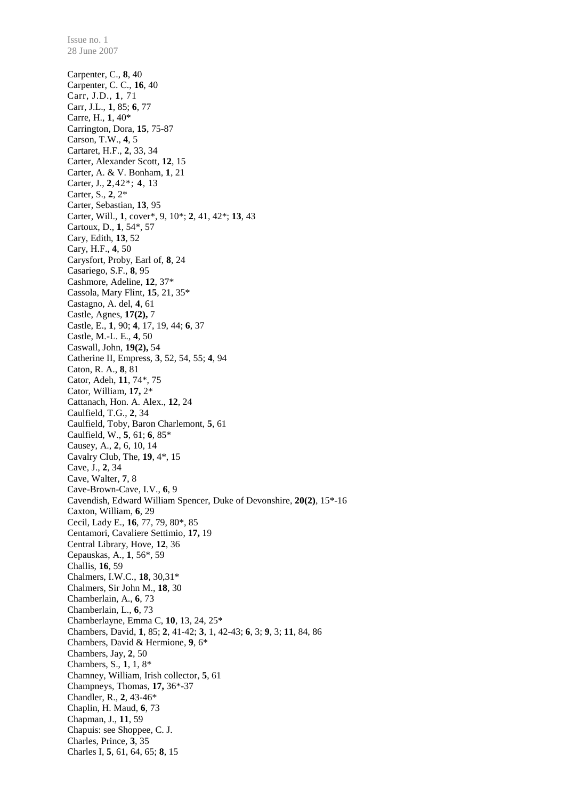Issue no. 1 28 June 2007 Carpenter, C., **8**, 40 Carpenter, C. C., **16**, 40 Carr, J.D., **1**, 71 Carr, J.L., **1**, 85; **6**, 77 Carre, H., **1**, 40\* Carrington, Dora, **15**, 75-87 Carson, T.W., **4**, 5 Cartaret, H.F., **2**, 33, 34 Carter, Alexander Scott, **12**, 15 Carter, A. & V. Bonham, **1**, 21 Carter, J., **2**,42\*; **4**, 13 Carter, S., **2**, 2\* Carter, Sebastian, **13**, 95 Carter, Will., **1**, cover\*, 9, 10\*; **2**, 41, 42\*; **13**, 43 Cartoux, D., **1**, 54\*, 57 Cary, Edith, **13**, 52 Cary, H.F., **4**, 50 Carysfort, Proby, Earl of, **8**, 24 Casariego, S.F., **8**, 95 Cashmore, Adeline, **12**, 37\* Cassola, Mary Flint, **15**, 21, 35\* Castagno, A. del, **4**, 61 Castle, Agnes, **17(2),** 7 Castle, E., **1**, 90; **4**, 17, 19, 44; **6**, 37 Castle, M.-L. E., **4**, 50 Caswall, John, **19(2),** 54 Catherine II, Empress, **3**, 52, 54, 55; **4**, 94 Caton, R. A., **8**, 81 Cator, Adeh, **11**, 74\*, 75 Cator, William, **17,** 2\* Cattanach, Hon. A. Alex., **12**, 24 Caulfield, T.G., **2**, 34 Caulfield, Toby, Baron Charlemont, **5**, 61 Caulfield, W., **5**, 61; **6**, 85\* Causey, A., **2**, 6, 10, 14 Cavalry Club, The, **19**, 4\*, 15 Cave, J., **2**, 34 Cave, Walter, **7**, 8 Cave-Brown-Cave, I.V., **6**, 9 Cavendish, Edward William Spencer, Duke of Devonshire, **20(2)**, 15\*-16 Caxton, William, **6**, 29 Cecil, Lady E., **16**, 77, 79, 80\*, 85 Centamori, Cavaliere Settimio, **17,** 19 Central Library, Hove, **12**, 36 Cepauskas, A., **1**, 56\*, 59 Challis, **16**, 59 Chalmers, I.W.C., **18**, 30,31\* Chalmers, Sir John M., **18**, 30 Chamberlain, A., **6**, 73 Chamberlain, L., **6**, 73 Chamberlayne, Emma C, **10**, 13, 24, 25\* Chambers, David, **1**, 85; **2**, 41-42; **3**, 1, 42-43; **6**, 3; **9**, 3; **11**, 84, 86 Chambers, David & Hermione, **9**, 6\* Chambers, Jay, **2**, 50 Chambers, S., **1**, 1, 8\* Chamney, William, Irish collector, **5**, 61 Champneys, Thomas, **17,** 36\*-37 Chandler, R., **2**, 43-46\* Chaplin, H. Maud, **6**, 73 Chapman, J., **11**, 59 Chapuis: see Shoppee, C. J. Charles, Prince, **3**, 35 Charles I, **5**, 61, 64, 65; **8**, 15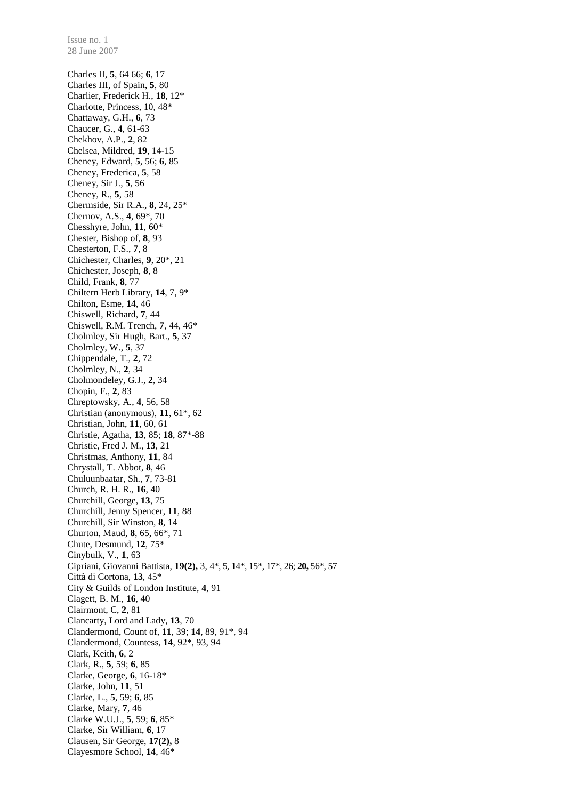Charles II, **5**, 64 66; **6**, 17 Charles III, of Spain, **5**, 80 Charlier, Frederick H., **18**, 12\* Charlotte, Princess, 10, 48\* Chattaway, G.H., **6**, 73 Chaucer, G., **4**, 61-63 Chekhov, A.P., **2**, 82 Chelsea, Mildred, **19**, 14-15 Cheney, Edward, **5**, 56; **6**, 85 Cheney, Frederica, **5**, 58 Cheney, Sir J., **5**, 56 Cheney, R., **5**, 58 Chermside, Sir R.A., **8**, 24, 25\* Chernov, A.S., **4**, 69\*, 70 Chesshyre, John, **11**, 60\* Chester, Bishop of, **8**, 93 Chesterton, F.S., **7**, 8 Chichester, Charles, **9**, 20\*, 21 Chichester, Joseph, **8**, 8 Child, Frank, **8**, 77 Chiltern Herb Library, **14**, 7, 9\* Chilton, Esme, **14**, 46 Chiswell, Richard, **7**, 44 Chiswell, R.M. Trench, **7**, 44, 46\* Cholmley, Sir Hugh, Bart., **5**, 37 Cholmley, W., **5**, 37 Chippendale, T., **2**, 72 Cholmley, N., **2**, 34 Cholmondeley, G.J., **2**, 34 Chopin, F., **2**, 83 Chreptowsky, A., **4**, 56, 58 Christian (anonymous), **11**, 61\*, 62 Christian, John, **11**, 60, 61 Christie, Agatha, **13**, 85; **18**, 87\*-88 Christie, Fred J. M., **13**, 21 Christmas, Anthony, **11**, 84 Chrystall, T. Abbot, **8**, 46 Chuluunbaatar, Sh., **7**, 73-81 Church, R. H. R., **16**, 40 Churchill, George, **13**, 75 Churchill, Jenny Spencer, **11**, 88 Churchill, Sir Winston, **8**, 14 Churton, Maud, **8**, 65, 66\*, 71 Chute, Desmund, **12**, 75\* Cinybulk, V., **1**, 63 Cipriani, Giovanni Battista, **19(2),** 3, 4\*, 5, 14\*, 15\*, 17\*, 26; **20,** 56\*, 57 Città di Cortona, **13**, 45\* City & Guilds of London Institute, **4**, 91 Clagett, B. M., **16**, 40 Clairmont, C, **2**, 81 Clancarty, Lord and Lady, **13**, 70 Clandermond, Count of, **11**, 39; **14**, 89, 91\*, 94 Clandermond, Countess, **14**, 92\*, 93, 94 Clark, Keith, **6**, 2 Clark, R., **5**, 59; **6**, 85 Clarke, George, **6**, 16-18\* Clarke, John, **11**, 51 Clarke, L., **5**, 59; **6**, 85 Clarke, Mary, **7**, 46 Clarke W.U.J., **5**, 59; **6**, 85\* Clarke, Sir William, **6**, 17 Clausen, Sir George, **17(2),** 8 Clayesmore School, **14**, 46\*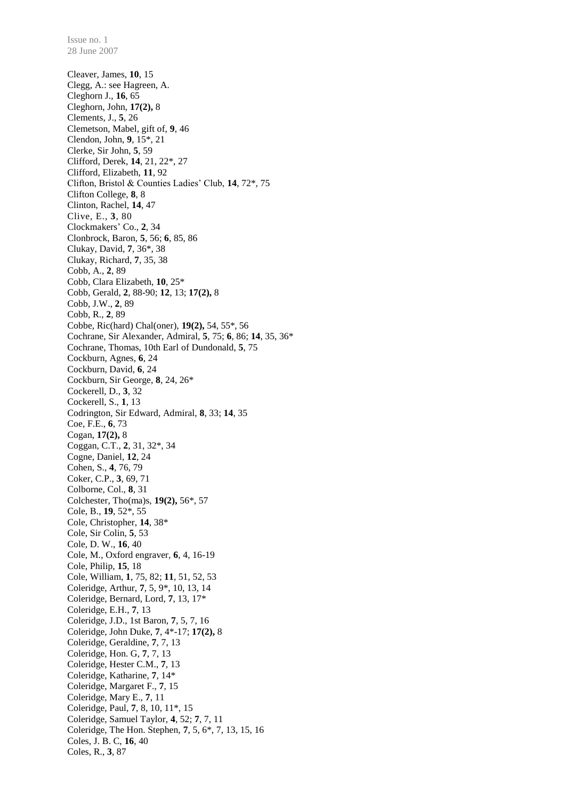Cleaver, James, **10**, 15 Clegg, A.: see Hagreen, A. Cleghorn J., **16**, 65 Cleghorn, John, **17(2),** 8 Clements, J., **5**, 26 Clemetson, Mabel, gift of, **9**, 46 Clendon, John, **9**, 15\*, 21 Clerke, Sir John, **5**, 59 Clifford, Derek, **14**, 21, 22\*, 27 Clifford, Elizabeth, **11**, 92 Clifton, Bristol & Counties Ladies' Club, **14**, 72\*, 75 Clifton College, **8**, 8 Clinton, Rachel, **14**, 47 Clive, E., **3**, 80 Clockmakers' Co., **2**, 34 Clonbrock, Baron, **5**, 56; **6**, 85, 86 Clukay, David, **7**, 36\*, 38 Clukay, Richard, **7**, 35, 38 Cobb, A., **2**, 89 Cobb, Clara Elizabeth, **10**, 25\* Cobb, Gerald, **2**, 88-90; **12**, 13; **17(2),** 8 Cobb, J.W., **2**, 89 Cobb, R., **2**, 89 Cobbe, Ric(hard) Chal(oner), **19(2),** 54, 55\*, 56 Cochrane, Sir Alexander, Admiral, **5**, 75; **6**, 86; **14**, 35, 36\* Cochrane, Thomas, 10th Earl of Dundonald, **5**, 75 Cockburn, Agnes, **6**, 24 Cockburn, David, **6**, 24 Cockburn, Sir George, **8**, 24, 26\* Cockerell, D., **3**, 32 Cockerell, S., **1**, 13 Codrington, Sir Edward, Admiral, **8**, 33; **14**, 35 Coe, F.E., **6**, 73 Cogan, **17(2),** 8 Coggan, C.T., **2**, 31, 32\*, 34 Cogne, Daniel, **12**, 24 Cohen, S., **4**, 76, 79 Coker, C.P., **3**, 69, 71 Colborne, Col., **8**, 31 Colchester, Tho(ma)s, **19(2),** 56\*, 57 Cole, B., **19**, 52\*, 55 Cole, Christopher, **14**, 38\* Cole, Sir Colin, **5**, 53 Cole, D. W., **16**, 40 Cole, M., Oxford engraver, **6**, 4, 16-19 Cole, Philip, **15**, 18 Cole, William, **1**, 75, 82; **11**, 51, 52, 53 Coleridge, Arthur, **7**, 5, 9\*, 10, 13, 14 Coleridge, Bernard, Lord, **7**, 13, 17\* Coleridge, E.H., **7**, 13 Coleridge, J.D., 1st Baron, **7**, 5, 7, 16 Coleridge, John Duke, **7**, 4\*-17; **17(2),** 8 Coleridge, Geraldine, **7**, 7, 13 Coleridge, Hon. G, **7**, 7, 13 Coleridge, Hester C.M., **7**, 13 Coleridge, Katharine, **7**, 14\* Coleridge, Margaret F., **7**, 15 Coleridge, Mary E., **7**, 11 Coleridge, Paul, **7**, 8, 10, 11\*, 15 Coleridge, Samuel Taylor, **4**, 52; **7**, 7, 11 Coleridge, The Hon. Stephen, **7**, 5, 6\*, 7, 13, 15, 16 Coles, J. B. C, **16**, 40 Coles, R., **3**, 87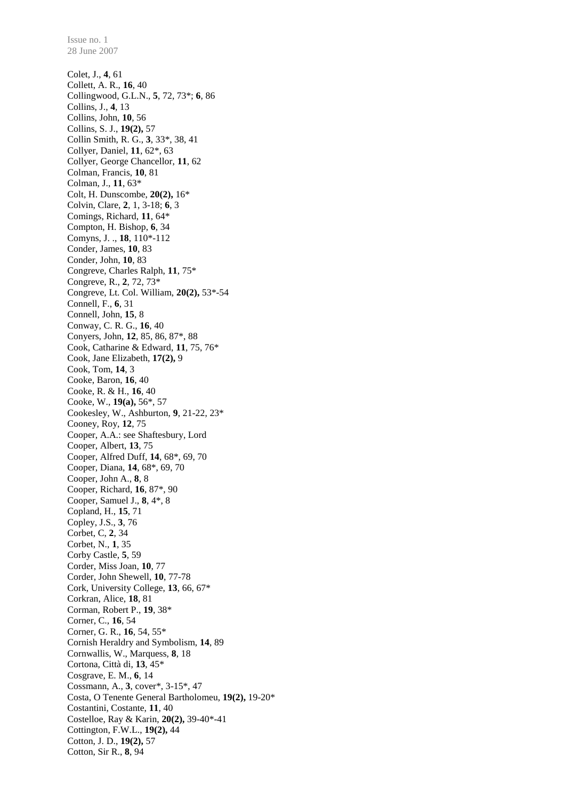Colet, J., **4**, 61 Collett, A. R., **16**, 40 Collingwood, G.L.N., **5**, 72, 73\*; **6**, 86 Collins, J., **4**, 13 Collins, John, **10**, 56 Collins, S. J., **19(2),** 57 Collin Smith, R. G., **3**, 33\*, 38, 41 Collyer, Daniel, **11**, 62\*, 63 Collyer, George Chancellor, **11**, 62 Colman, Francis, **10**, 81 Colman, J., **11**, 63\* Colt, H. Dunscombe, **20(2),** 16\* Colvin, Clare, **2**, 1, 3-18; **6**, 3 Comings, Richard, **11**, 64\* Compton, H. Bishop, **6**, 34 Comyns, J. ., **18**, 110\*-112 Conder, James, **10**, 83 Conder, John, **10**, 83 Congreve, Charles Ralph, **11**, 75\* Congreve, R., **2**, 72, 73\* Congreve, Lt. Col. William, **20(2),** 53\*-54 Connell, F., **6**, 31 Connell, John, **15**, 8 Conway, C. R. G., **16**, 40 Conyers, John, **12**, 85, 86, 87\*, 88 Cook, Catharine & Edward, **11**, 75, 76\* Cook, Jane Elizabeth, **17(2),** 9 Cook, Tom, **14**, 3 Cooke, Baron, **16**, 40 Cooke, R. & H., **16**, 40 Cooke, W., **19(a),** 56\*, 57 Cookesley, W., Ashburton, **9**, 21-22, 23\* Cooney, Roy, **12**, 75 Cooper, A.A.: see Shaftesbury, Lord Cooper, Albert, **13**, 75 Cooper, Alfred Duff, **14**, 68\*, 69, 70 Cooper, Diana, **14**, 68\*, 69, 70 Cooper, John A., **8**, 8 Cooper, Richard, **16**, 87\*, 90 Cooper, Samuel J., **8**, 4\*, 8 Copland, H., **15**, 71 Copley, J.S., **3**, 76 Corbet, C, **2**, 34 Corbet, N., **1**, 35 Corby Castle, **5**, 59 Corder, Miss Joan, **10**, 77 Corder, John Shewell, **10**, 77-78 Cork, University College, **13**, 66, 67\* Corkran, Alice, **18**, 81 Corman, Robert P., **19**, 38\* Corner, C., **16**, 54 Corner, G. R., **16**, 54, 55\* Cornish Heraldry and Symbolism, **14**, 89 Cornwallis, W., Marquess, **8**, 18 Cortona, Città di, **13**, 45\* Cosgrave, E. M., **6**, 14 Cossmann, A., **3**, cover\*, 3-15\*, 47 Costa, O Tenente General Bartholomeu, **19(2),** 19-20\* Costantini, Costante, **11**, 40 Costelloe, Ray & Karin, **20(2),** 39-40\*-41 Cottington, F.W.L., **19(2),** 44 Cotton, J. D., **19(2),** 57

Cotton, Sir R., **8**, 94

Issue no. 1 28 June 2007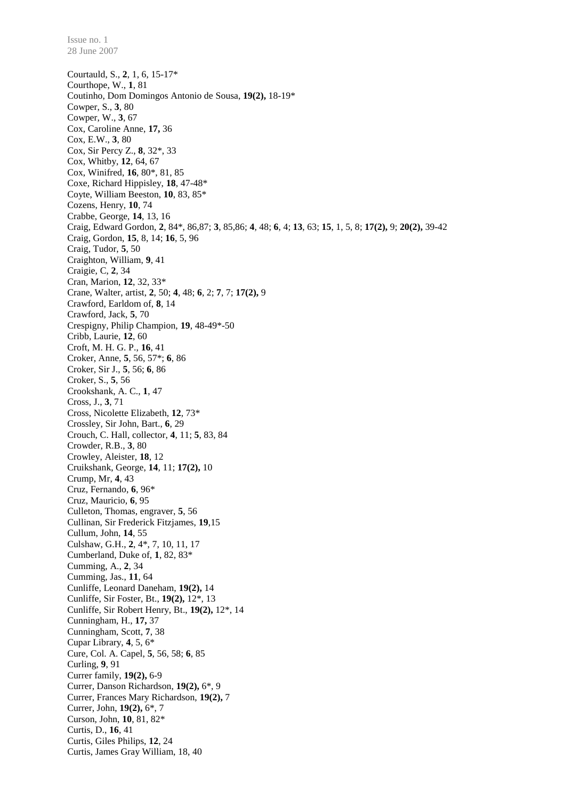Courtauld, S., **2**, 1, 6, 15-17\* Courthope, W., **1**, 81 Coutinho, Dom Domingos Antonio de Sousa, **19(2),** 18-19\* Cowper, S., **3**, 80 Cowper, W., **3**, 67 Cox, Caroline Anne, **17,** 36 Cox, E.W., **3**, 80 Cox, Sir Percy Z., **8**, 32\*, 33 Cox, Whitby, **12**, 64, 67 Cox, Winifred, **16**, 80\*, 81, 85 Coxe, Richard Hippisley, **18**, 47-48\* Coyte, William Beeston, **10**, 83, 85\* Cozens, Henry, **10**, 74 Crabbe, George, **14**, 13, 16 Craig, Edward Gordon, **2**, 84\*, 86,87; **3**, 85,86; **4**, 48; **6**, 4; **13**, 63; **15**, 1, 5, 8; **17(2),** 9; **20(2),** 39-42 Craig, Gordon, **15**, 8, 14; **16**, 5, 96 Craig, Tudor, **5**, 50 Craighton, William, **9**, 41 Craigie, C, **2**, 34 Cran, Marion, **12**, 32, 33\* Crane, Walter, artist, **2**, 50; **4**, 48; **6**, 2; **7**, 7; **17(2),** 9 Crawford, Earldom of, **8**, 14 Crawford, Jack, **5**, 70 Crespigny, Philip Champion, **19**, 48-49\*-50 Cribb, Laurie, **12**, 60 Croft, M. H. G. P., **16**, 41 Croker, Anne, **5**, 56, 57\*; **6**, 86 Croker, Sir J., **5**, 56; **6**, 86 Croker, S., **5**, 56 Crookshank, A. C., **1**, 47 Cross, J., **3**, 71 Cross, Nicolette Elizabeth, **12**, 73\* Crossley, Sir John, Bart., **6**, 29 Crouch, C. Hall, collector, **4**, 11; **5**, 83, 84 Crowder, R.B., **3**, 80 Crowley, Aleister, **18**, 12 Cruikshank, George, **14**, 11; **17(2),** 10 Crump, Mr, **4**, 43 Cruz, Fernando, **6**, 96\* Cruz, Mauricio, **6**, 95 Culleton, Thomas, engraver, **5**, 56 Cullinan, Sir Frederick Fitzjames, **19**,15 Cullum, John, **14**, 55 Culshaw, G.H., **2**, 4\*, 7, 10, 11, 17 Cumberland, Duke of, **1**, 82, 83\* Cumming, A., **2**, 34 Cumming, Jas., **11**, 64 Cunliffe, Leonard Daneham, **19(2),** 14 Cunliffe, Sir Foster, Bt., **19(2),** 12\*, 13 Cunliffe, Sir Robert Henry, Bt., **19(2),** 12\*, 14 Cunningham, H., **17,** 37 Cunningham, Scott, **7**, 38 Cupar Library, **4**, 5, 6\* Cure, Col. A. Capel, **5**, 56, 58; **6**, 85 Curling, **9**, 91 Currer family, **19(2),** 6-9 Currer, Danson Richardson, **19(2),** 6\*, 9 Currer, Frances Mary Richardson, **19(2),** 7 Currer, John, **19(2),** 6\*, 7 Curson, John, **10**, 81, 82\* Curtis, D., **16**, 41 Curtis, Giles Philips, **12**, 24 Curtis, James Gray William, 18, 40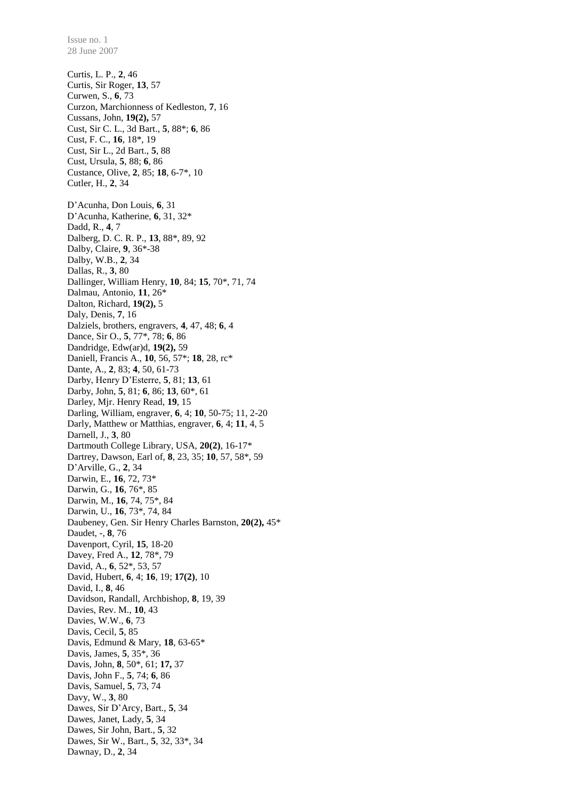28 June 2007 Curtis, L. P., **2**, 46 Curtis, Sir Roger, **13**, 57 Curwen, S., **6**, 73 Curzon, Marchionness of Kedleston, **7**, 16 Cussans, John, **19(2),** 57 Cust, Sir C. L., 3d Bart., **5**, 88\*; **6**, 86 Cust, F. C., **16**, 18\*, 19 Cust, Sir L., 2d Bart., **5**, 88 Cust, Ursula, **5**, 88; **6**, 86 Custance, Olive, **2**, 85; **18**, 6-7\*, 10 Cutler, H., **2**, 34 D'Acunha, Don Louis, **6**, 31 D'Acunha, Katherine, **6**, 31, 32\* Dadd, R., **4**, 7 Dalberg, D. C. R. P., **13**, 88\*, 89, 92 Dalby, Claire, **9**, 36\*-38 Dalby, W.B., **2**, 34 Dallas, R., **3**, 80 Dallinger, William Henry, **10**, 84; **15**, 70\*, 71, 74 Dalmau, Antonio, **11**, 26\* Dalton, Richard, **19(2),** 5 Daly, Denis, **7**, 16 Dalziels, brothers, engravers, **4**, 47, 48; **6**, 4 Dance, Sir O., **5**, 77\*, 78; **6**, 86 Dandridge, Edw(ar)d, **19(2),** 59 Daniell, Francis A., **10**, 56, 57\*; **18**, 28, rc\* Dante, A., **2**, 83; **4**, 50, 61-73 Darby, Henry D'Esterre, **5**, 81; **13**, 61 Darby, John, **5**, 81; **6**, 86; **13**, 60\*, 61 Darley, Mjr. Henry Read, **19**, 15 Darling, William, engraver, **6**, 4; **10**, 50-75; 11, 2-20 Darly, Matthew or Matthias, engraver, **6**, 4; **11**, 4, 5 Darnell, J., **3**, 80 Dartmouth College Library, USA, **20(2)**, 16-17\* Dartrey, Dawson, Earl of, **8**, 23, 35; **10**, 57, 58\*, 59 D'Arville, G., **2**, 34 Darwin, E., **16**, 72, 73\* Darwin, G., **16**, 76\*, 85 Darwin, M., **16**, 74, 75\*, 84 Darwin, U., **16**, 73\*, 74, 84 Daubeney, Gen. Sir Henry Charles Barnston, **20(2),** 45\* Daudet, -, **8**, 76 Davenport, Cyril, **15**, 18-20 Davey, Fred A., **12**, 78\*, 79 David, A., **6**, 52\*, 53, 57 David, Hubert, **6**, 4; **16**, 19; **17(2)**, 10 David, I., **8**, 46 Davidson, Randall, Archbishop, **8**, 19, 39 Davies, Rev. M., **10**, 43 Davies, W.W., **6**, 73 Davis, Cecil, **5**, 85 Davis, Edmund & Mary, **18**, 63-65\* Davis, James, **5**, 35\*, 36 Davis, John, **8**, 50\*, 61; **17,** 37 Davis, John F., **5**, 74; **6**, 86 Davis, Samuel, **5**, 73, 74 Davy, W., **3**, 80 Dawes, Sir D'Arcy, Bart., **5**, 34 Dawes, Janet, Lady, **5**, 34 Dawes, Sir John, Bart., **5**, 32 Dawes, Sir W., Bart., **5**, 32, 33\*, 34 Dawnay, D., **2**, 34

Issue no. 1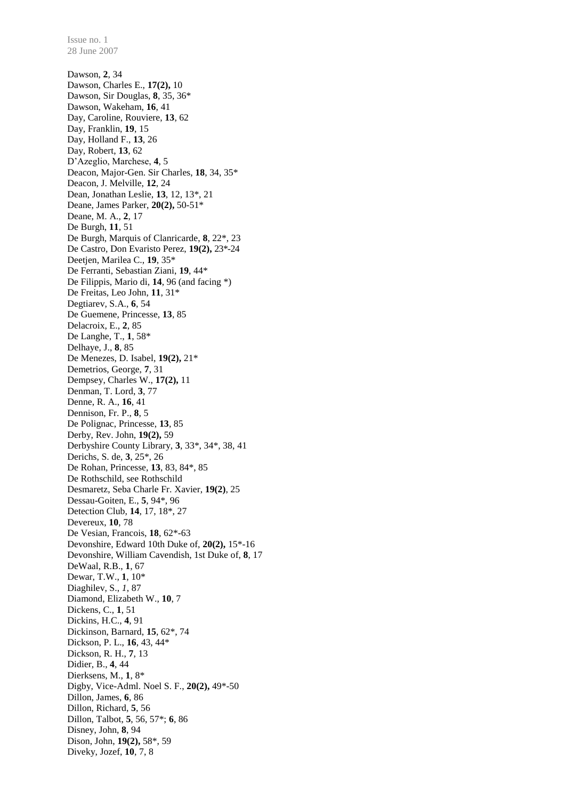Dawson, **2**, 34 Dawson, Charles E., **17(2),** 10 Dawson, Sir Douglas, **8**, 35, 36\* Dawson, Wakeham, **16**, 41 Day, Caroline, Rouviere, **13**, 62 Day, Franklin, **19**, 15 Day, Holland F., **13**, 26 Day, Robert, **13**, 62 D'Azeglio, Marchese, **4**, 5 Deacon, Major-Gen. Sir Charles, **18**, 34, 35\* Deacon, J. Melville, **12**, 24 Dean, Jonathan Leslie, **13**, 12, 13\*, 21 Deane, James Parker, **20(2),** 50-51\* Deane, M. A., **2**, 17 De Burgh, **11**, 51 De Burgh, Marquis of Clanricarde, **8**, 22\*, 23 De Castro, Don Evaristo Perez, **19(2),** 23\*-24 Deetjen, Marilea C., **19**, 35\* De Ferranti, Sebastian Ziani, **19**, 44\* De Filippis, Mario di, **14**, 96 (and facing \*) De Freitas, Leo John, **11**, 31\* Degtiarev, S.A., **6**, 54 De Guemene, Princesse, **13**, 85 Delacroix, E., **2**, 85 De Langhe, T., **1**, 58\* Delhaye, J., **8**, 85 De Menezes, D. Isabel, **19(2),** 21\* Demetrios, George, **7**, 31 Dempsey, Charles W., **17(2),** 11 Denman, T. Lord, **3**, 77 Denne, R. A., **16**, 41 Dennison, Fr. P., **8**, 5 De Polignac, Princesse, **13**, 85 Derby, Rev. John, **19(2),** 59 Derbyshire County Library, **3**, 33\*, 34\*, 38, 41 Derichs, S. de, **3**, 25\*, 26 De Rohan, Princesse, **13**, 83, 84\*, 85 De Rothschild, see Rothschild Desmaretz, Seba Charle Fr. Xavier, **19(2)**, 25 Dessau-Goiten, E., **5**, 94\*, 96 Detection Club, **14**, 17, 18\*, 27 Devereux, **10**, 78 De Vesian, Francois, **18**, 62\*-63 Devonshire, Edward 10th Duke of, **20(2),** 15\*-16 Devonshire, William Cavendish, 1st Duke of, **8**, 17 DeWaal, R.B., **1**, 67 Dewar, T.W., **1**, 10\* Diaghilev, S., *1*, 87 Diamond, Elizabeth W., **10**, 7 Dickens, C., **1**, 51 Dickins, H.C., **4**, 91 Dickinson, Barnard, **15**, 62\*, 74 Dickson, P. L., **16**, 43, 44\* Dickson, R. H., **7**, 13 Didier, B., **4**, 44 Dierksens, M., **1**, 8\* Digby, Vice-Adml. Noel S. F., **20(2),** 49\*-50 Dillon, James, **6**, 86 Dillon, Richard, **5**, 56 Dillon, Talbot, **5**, 56, 57\*; **6**, 86 Disney, John, **8**, 94 Dison, John, **19(2),** 58\*, 59 Diveky, Jozef, **10**, 7, 8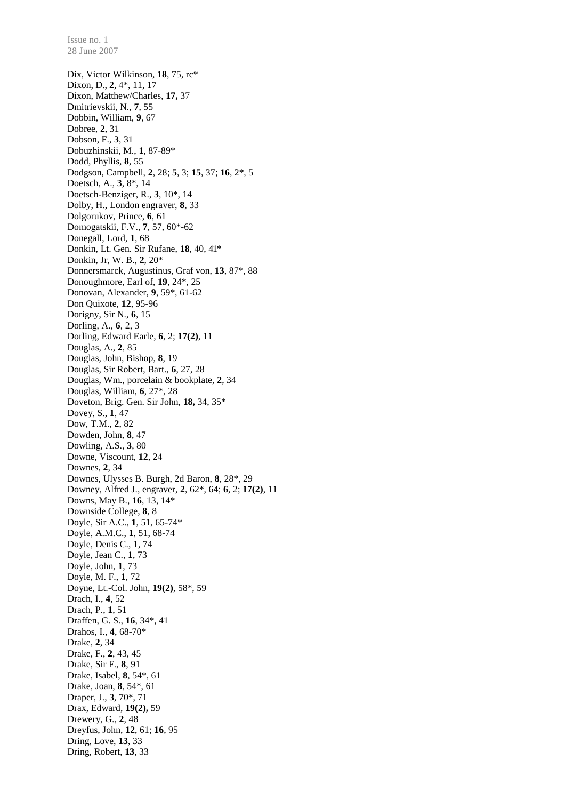Dix, Victor Wilkinson, **18**, 75, rc\* Dixon, D., **2**, 4\*, 11, 17 Dixon, Matthew/Charles, **17,** 37 Dmitrievskii, N., **7**, 55 Dobbin, William, **9**, 67 Dobree, **2**, 31 Dobson, F., **3**, 31 Dobuzhinskii, M., **1**, 87-89\* Dodd, Phyllis, **8**, 55 Dodgson, Campbell, **2**, 28; **5**, 3; **15**, 37; **16**, 2\*, 5 Doetsch, A., **3**, 8\*, 14 Doetsch-Benziger, R., **3**, 10\*, 14 Dolby, H., London engraver, **8**, 33 Dolgorukov, Prince, **6**, 61 Domogatskii, F.V., **7**, 57, 60\*-62 Donegall, Lord, **1**, 68 Donkin, Lt. Gen. Sir Rufane, **18**, 40, 41\* Donkin, Jr, W. B., **2**, 20\* Donnersmarck, Augustinus, Graf von, **13**, 87\*, 88 Donoughmore, Earl of, **19**, 24\*, 25 Donovan, Alexander, **9**, 59\*, 61-62 Don Quixote, **12**, 95-96 Dorigny, Sir N., **6**, 15 Dorling, A., **6**, 2, 3 Dorling, Edward Earle, **6**, 2; **17(2)**, 11 Douglas, A., **2**, 85 Douglas, John, Bishop, **8**, 19 Douglas, Sir Robert, Bart., **6**, 27, 28 Douglas, Wm., porcelain & bookplate, **2**, 34 Douglas, William, **6**, 27\*, 28 Doveton, Brig. Gen. Sir John, **18,** 34, 35\* Dovey, S., **1**, 47 Dow, T.M., **2**, 82 Dowden, John, **8**, 47 Dowling, A.S., **3**, 80 Downe, Viscount, **12**, 24 Downes, **2**, 34 Downes, Ulysses B. Burgh, 2d Baron, **8**, 28\*, 29 Downey, Alfred J., engraver, **2**, 62\*, 64; **6**, 2; **17(2)**, 11 Downs, May B., **16**, 13, 14\* Downside College, **8**, 8 Doyle, Sir A.C., **1**, 51, 65-74\* Doyle, A.M.C., **1**, 51, 68-74 Doyle, Denis C., **1**, 74 Doyle, Jean C., **1**, 73 Doyle, John, **1**, 73 Doyle, M. F., **1**, 72 Doyne, Lt.-Col. John, **19(2)**, 58\*, 59 Drach, I., **4**, 52 Drach, P., **1**, 51 Draffen, G. S., **16**, 34\*, 41 Drahos, I., **4**, 68-70\* Drake, **2**, 34 Drake, F., **2**, 43, 45 Drake, Sir F., **8**, 91 Drake, Isabel, **8**, 54\*, 61 Drake, Joan, **8**, 54\*, 61 Draper, J., **3**, 70\*, 71 Drax, Edward, **19(2),** 59 Drewery, G., **2**, 48 Dreyfus, John, **12**, 61; **16**, 95 Dring, Love, **13**, 33 Dring, Robert, **13**, 33